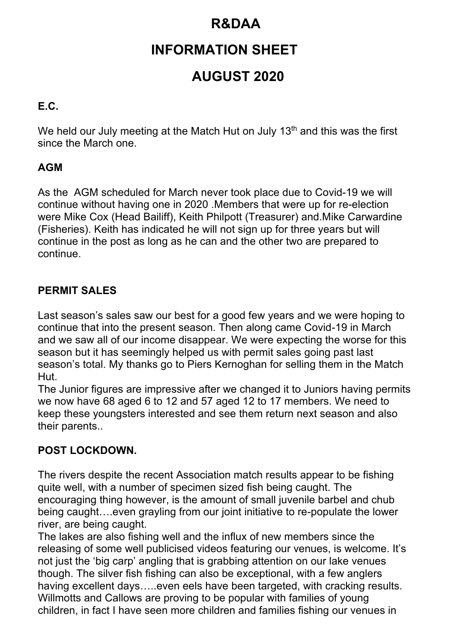## **R&DAA**

# **INFORMATION SHEET**

# **AUGUST 2020**

### **E.C.**

We held our July meeting at the Match Hut on July 13<sup>th</sup> and this was the first since the March one.

### **AGM**

As the AGM scheduled for March never took place due to Covid-19 we will continue without having one in 2020 .Members that were up for re-election were Mike Cox (Head Bailiff), Keith Philpott (Treasurer) and.Mike Carwardine (Fisheries). Keith has indicated he will not sign up for three years but will continue in the post as long as he can and the other two are prepared to continue.

### **PERMIT SALES**

Last season's sales saw our best for a good few years and we were hoping to continue that into the present season. Then along came Covid-19 in March and we saw all of our income disappear. We were expecting the worse for this season but it has seemingly helped us with permit sales going past last season's total. My thanks go to Piers Kernoghan for selling them in the Match Hut.

The Junior figures are impressive after we changed it to Juniors having permits we now have 68 aged 6 to 12 and 57 aged 12 to 17 members. We need to keep these youngsters interested and see them return next season and also their parents..

#### **POST LOCKDOWN.**

The rivers despite the recent Association match results appear to be fishing quite well, with a number of specimen sized fish being caught. The encouraging thing however, is the amount of small juvenile barbel and chub being caught….even grayling from our joint initiative to re-populate the lower river, are being caught.

The lakes are also fishing well and the influx of new members since the releasing of some well publicised videos featuring our venues, is welcome. It's not just the 'big carp' angling that is grabbing attention on our lake venues though. The silver fish fishing can also be exceptional, with a few anglers having excellent days.....even eels have been targeted, with cracking results. Willmotts and Callows are proving to be popular with families of young children, in fact I have seen more children and families fishing our venues in